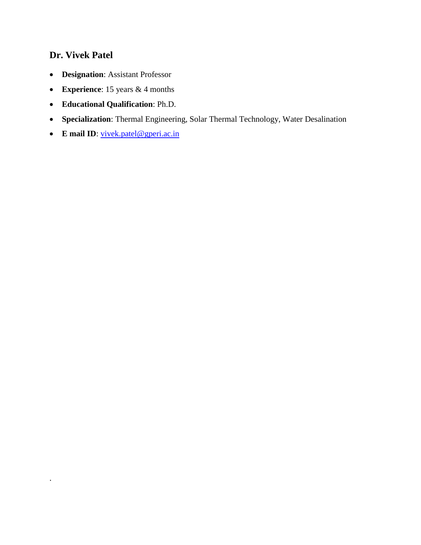## **Dr. Vivek Patel**

.

- **Designation**: Assistant Professor
- **Experience**: 15 years & 4 months
- **Educational Qualification**: Ph.D.
- **Specialization**: Thermal Engineering, Solar Thermal Technology, Water Desalination
- **E** mail ID: [vivek.patel@gperi.ac.in](mailto:vivek.patel@gperi.ac.in)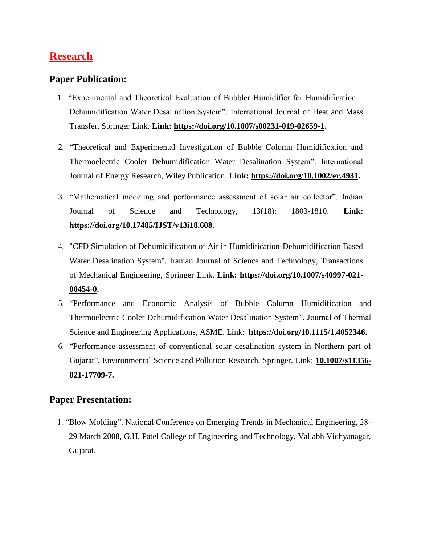# **Research**

### **Paper Publication:**

- 1. "Experimental and Theoretical Evaluation of Bubbler Humidifier for Humidification Dehumidification Water Desalination System". International Journal of Heat and Mass Transfer, Springer Link. **Link: [https://doi.org/10.1007/s00231-019-02659-1.](https://doi.org/10.1007/s00231-019-02659-1)**
- 2. "Theoretical and Experimental Investigation of Bubble Column Humidification and Thermoelectric Cooler Dehumidification Water Desalination System". International Journal of Energy Research, Wiley Publication. **Link: [https://doi.org/10.1002/er.4931.](https://doi.org/10.1002/er.4931)**
- 3. "Mathematical modeling and performance assessment of solar air collector". Indian Journal of Science and Technology, 13(18): 1803-1810. **Link: https://doi.org[/10.17485/IJST/v13i18.608](https://doi.org/10.17485/IJST/v13i18.608)**.
- 4. "CFD Simulation of Dehumidification of Air in Humidification-Dehumidification Based Water Desalination System". Iranian Journal of Science and Technology, Transactions of Mechanical Engineering, Springer Link. **Link: [https://doi.org/10.1007/s40997-021-](https://doi.org/10.1007/s40997-021-00454-0) [00454-0.](https://doi.org/10.1007/s40997-021-00454-0)**
- 5. "Performance and Economic Analysis of Bubble Column Humidification and Thermoelectric Cooler Dehumidification Water Desalination System". Journal of Thermal Science and Engineering Applications, ASME. Link: **[https://doi.org/10.1115/1.4052346.](https://doi.org/10.1115/1.4052346)**
- 6. "Performance assessment of conventional solar desalination system in Northern part of Gujarat". Environmental Science and Pollution Research, Springer. Link: **[10.1007/s11356-](https://doi.org/10.1007/s11356-021-17709-7) [021-17709-7.](https://doi.org/10.1007/s11356-021-17709-7)**

### **Paper Presentation:**

1. "Blow Molding". National Conference on Emerging Trends in Mechanical Engineering, 28- 29 March 2008, G.H. Patel College of Engineering and Technology, Vallabh Vidhyanagar, Gujarat.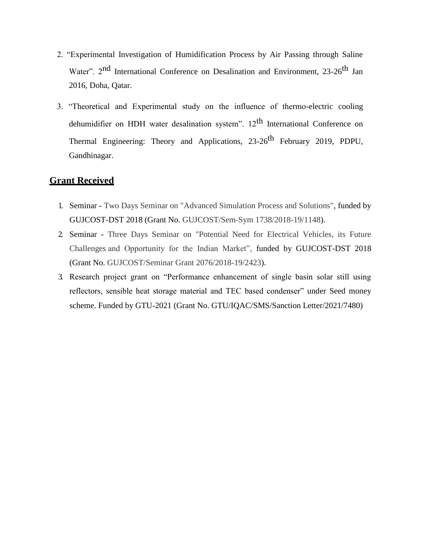- 2. "Experimental Investigation of Humidification Process by Air Passing through Saline Water". 2<sup>nd</sup> International Conference on Desalination and Environment, 23-26<sup>th</sup> Jan 2016, Doha, Qatar.
- 3. "Theoretical and Experimental study on the influence of thermo-electric cooling dehumidifier on HDH water desalination system".  $12<sup>th</sup>$  International Conference on Thermal Engineering: Theory and Applications, 23-26<sup>th</sup> February 2019, PDPU, Gandhinagar.

#### **Grant Received**

- 1. Seminar Two Days Seminar on "Advanced Simulation Process and Solutions", funded by GUJCOST-DST 2018 (Grant No. GUJCOST/Sem-Sym 1738/2018-19/1148).
- 2. Seminar Three Days Seminar on "Potential Need for Electrical Vehicles, its Future Challenges and Opportunity for the Indian Market", funded by GUJCOST-DST 2018 (Grant No. GUJCOST/Seminar Grant 2076/2018-19/2423).
- 3. Research project grant on "Performance enhancement of single basin solar still using reflectors, sensible heat storage material and TEC based condenser" under Seed money scheme. Funded by GTU-2021 (Grant No. GTU/IQAC/SMS/Sanction Letter/2021/7480)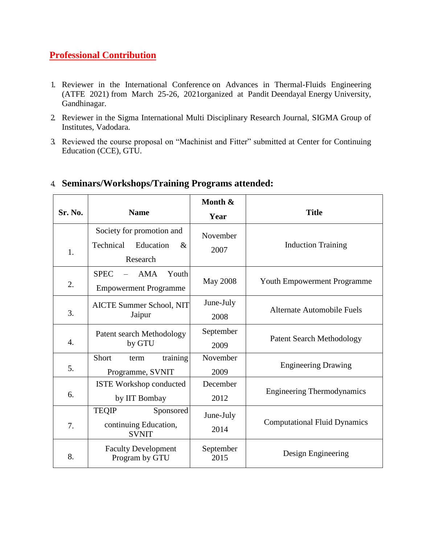### **[Professional Contribution](https://gperi.ac.in/mechanical.php#umangdetailtwo)**

- 1. Reviewer in the International Conference on Advances in Thermal-Fluids Engineering (ATFE 2021) from March 25-26, 2021organized at Pandit Deendayal Energy University, Gandhinagar.
- 2. Reviewer in the Sigma International Multi Disciplinary Research Journal, SIGMA Group of Institutes, Vadodara.
- 3. Reviewed the course proposal on "Machinist and Fitter" submitted at Center for Continuing Education (CCE), GTU.

| Sr. No. | <b>Name</b>                                  | Month &                                               | <b>Title</b>                        |
|---------|----------------------------------------------|-------------------------------------------------------|-------------------------------------|
|         |                                              | Year                                                  |                                     |
|         | Society for promotion and                    | November                                              |                                     |
| 1.      | Technical<br>Education<br>$\&$               | 2007                                                  | <b>Induction Training</b>           |
|         | Research                                     |                                                       |                                     |
| 2.      | <b>SPEC</b><br><b>AMA</b><br>Youth           | <b>May 2008</b><br><b>Youth Empowerment Programme</b> |                                     |
|         | <b>Empowerment Programme</b>                 |                                                       |                                     |
|         | AICTE Summer School, NIT                     | June-July                                             | <b>Alternate Automobile Fuels</b>   |
| 3.      | Jaipur                                       | 2008                                                  |                                     |
| 4.      | Patent search Methodology                    | September                                             | <b>Patent Search Methodology</b>    |
|         | by GTU                                       | 2009                                                  |                                     |
|         | training<br>Short<br>term                    | November                                              | <b>Engineering Drawing</b>          |
| 5.      | Programme, SVNIT                             | 2009                                                  |                                     |
|         | <b>ISTE Workshop conducted</b>               | December                                              | <b>Engineering Thermodynamics</b>   |
| 6.      | by IIT Bombay                                | 2012                                                  |                                     |
|         | <b>TEQIP</b><br>Sponsored                    | June-July                                             |                                     |
| 7.      | continuing Education,<br><b>SVNIT</b>        | 2014                                                  | <b>Computational Fluid Dynamics</b> |
| 8.      | <b>Faculty Development</b><br>Program by GTU | September<br>2015                                     | Design Engineering                  |

## 4. **Seminars/Workshops/Training Programs attended:**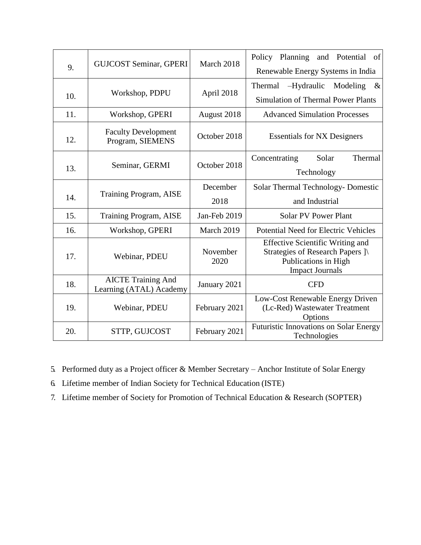| 9.  | <b>GUJCOST Seminar, GPERI</b>                        | March 2018       | Policy Planning<br>and Potential<br>of                                                                                        |
|-----|------------------------------------------------------|------------------|-------------------------------------------------------------------------------------------------------------------------------|
|     |                                                      |                  | Renewable Energy Systems in India                                                                                             |
| 10. | Workshop, PDPU                                       | April 2018       | -Hydraulic<br>Modeling<br>$\&$<br>Thermal                                                                                     |
|     |                                                      |                  | <b>Simulation of Thermal Power Plants</b>                                                                                     |
| 11. | Workshop, GPERI                                      | August 2018      | <b>Advanced Simulation Processes</b>                                                                                          |
| 12. | <b>Faculty Development</b><br>Program, SIEMENS       | October 2018     | <b>Essentials for NX Designers</b>                                                                                            |
| 13. | Seminar, GERMI                                       | October 2018     | Thermal<br>Solar<br>Concentrating                                                                                             |
|     |                                                      |                  | Technology                                                                                                                    |
| 14. | Training Program, AISE                               | December         | Solar Thermal Technology- Domestic                                                                                            |
|     |                                                      | 2018             | and Industrial                                                                                                                |
| 15. | Training Program, AISE                               | Jan-Feb 2019     | <b>Solar PV Power Plant</b>                                                                                                   |
| 16. | Workshop, GPERI                                      | March 2019       | Potential Need for Electric Vehicles                                                                                          |
| 17. | Webinar, PDEU                                        | November<br>2020 | <b>Effective Scientific Writing and</b><br>Strategies of Research Papers ]\<br>Publications in High<br><b>Impact Journals</b> |
| 18. | <b>AICTE Training And</b><br>Learning (ATAL) Academy | January 2021     | <b>CFD</b>                                                                                                                    |
| 19. | Webinar, PDEU                                        | February 2021    | Low-Cost Renewable Energy Driven<br>(Lc-Red) Wastewater Treatment<br>Options                                                  |
| 20. | STTP, GUJCOST                                        | February 2021    | Futuristic Innovations on Solar Energy<br>Technologies                                                                        |

5. Performed duty as a Project officer & Member Secretary – Anchor Institute of Solar Energy

6. Lifetime member of Indian Society for Technical Education (ISTE)

7. Lifetime member of Society for Promotion of Technical Education & Research (SOPTER)